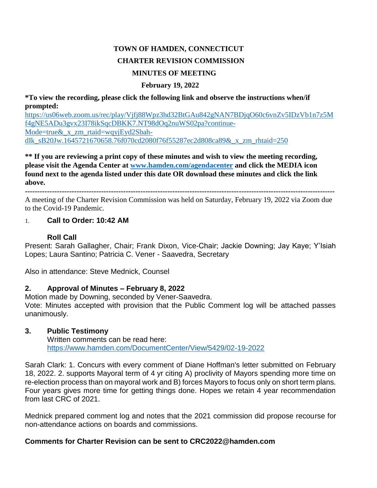# **TOWN OF HAMDEN, CONNECTICUT CHARTER REVISION COMMISSION MINUTES OF MEETING**

### **February 19, 2022**

**\*To view the recording, please click the following link and observe the instructions when/if prompted:**

[https://us06web.zoom.us/rec/play/Vjfj88Wpz3hd32BtGAu842gNAN7BDjqO60c6vnZv5IDzVb1n7z5M](https://us06web.zoom.us/rec/play/Vjfj88Wpz3hd32BtGAu842gNAN7BDjqO60c6vnZv5IDzVb1n7z5Mf4gNE5ADu3gvx23I78ikSqcDBKK7.NT98dOq2nuWS02pa?continueMode=true&_x_zm_rtaid=wqyjEyd2SbahdIk_sB20Jw.1645721670658.76f070cd2080f76f55287ec2d808ca89&_x_zm_rhtaid=250) [f4gNE5ADu3gvx23I78ikSqcDBKK7.NT98dOq2nuWS02pa?continue-](https://us06web.zoom.us/rec/play/Vjfj88Wpz3hd32BtGAu842gNAN7BDjqO60c6vnZv5IDzVb1n7z5Mf4gNE5ADu3gvx23I78ikSqcDBKK7.NT98dOq2nuWS02pa?continueMode=true&_x_zm_rtaid=wqyjEyd2SbahdIk_sB20Jw.1645721670658.76f070cd2080f76f55287ec2d808ca89&_x_zm_rhtaid=250)[Mode=true&\\_x\\_zm\\_rtaid=wqyjEyd2Sbah](https://us06web.zoom.us/rec/play/Vjfj88Wpz3hd32BtGAu842gNAN7BDjqO60c6vnZv5IDzVb1n7z5Mf4gNE5ADu3gvx23I78ikSqcDBKK7.NT98dOq2nuWS02pa?continueMode=true&_x_zm_rtaid=wqyjEyd2SbahdIk_sB20Jw.1645721670658.76f070cd2080f76f55287ec2d808ca89&_x_zm_rhtaid=250)[dIk\\_sB20Jw.1645721670658.76f070cd2080f76f55287ec2d808ca89&\\_x\\_zm\\_rhtaid=250](https://us06web.zoom.us/rec/play/Vjfj88Wpz3hd32BtGAu842gNAN7BDjqO60c6vnZv5IDzVb1n7z5Mf4gNE5ADu3gvx23I78ikSqcDBKK7.NT98dOq2nuWS02pa?continueMode=true&_x_zm_rtaid=wqyjEyd2SbahdIk_sB20Jw.1645721670658.76f070cd2080f76f55287ec2d808ca89&_x_zm_rhtaid=250)

**\*\* If you are reviewing a print copy of these minutes and wish to view the meeting recording, please visit the Agenda Center at [www.hamden.com/agendacenter](http://www.hamden.com/agendacenter) and click the MEDIA icon found next to the agenda listed under this date OR download these minutes and click the link above.**

**------------------------------------------------------------------------------------------------------------------------------**

A meeting of the Charter Revision Commission was held on Saturday, February 19, 2022 via Zoom due to the Covid-19 Pandemic.

### 1. **Call to Order: 10:42 AM**

#### **Roll Call**

Present: Sarah Gallagher, Chair; Frank Dixon, Vice-Chair; Jackie Downing; Jay Kaye; Y'Isiah Lopes; Laura Santino; Patricia C. Vener - Saavedra, Secretary

Also in attendance: Steve Mednick, Counsel

# **2. Approval of Minutes – February 8, 2022**

Motion made by Downing, seconded by Vener-Saavedra. Vote: Minutes accepted with provision that the Public Comment log will be attached passes unanimously.

#### **3. Public Testimony**

Written comments can be read here: <https://www.hamden.com/DocumentCenter/View/5429/02-19-2022>

Sarah Clark: 1. Concurs with every comment of Diane Hoffman's letter submitted on February 18, 2022. 2. supports Mayoral term of 4 yr citing A) proclivity of Mayors spending more time on re-election process than on mayoral work and B) forces Mayors to focus only on short term plans. Four years gives more time for getting things done. Hopes we retain 4 year recommendation from last CRC of 2021.

Mednick prepared comment log and notes that the 2021 commission did propose recourse for non-attendance actions on boards and commissions.

# **Comments for Charter Revision can be sent to CRC2022@hamden.com**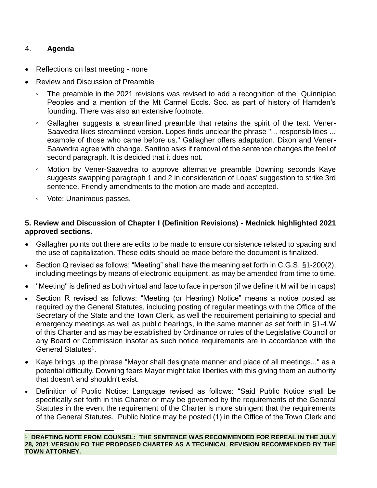# 4. **Agenda**

 $\overline{a}$ 

- Reflections on last meeting none
- Review and Discussion of Preamble
	- The preamble in the 2021 revisions was revised to add a recognition of the Quinnipiac Peoples and a mention of the Mt Carmel Eccls. Soc. as part of history of Hamden's founding. There was also an extensive footnote.
	- Gallagher suggests a streamlined preamble that retains the spirit of the text. Vener-Saavedra likes streamlined version. Lopes finds unclear the phrase "... responsibilities ... example of those who came before us." Gallagher offers adaptation. Dixon and Vener-Saavedra agree with change. Santino asks if removal of the sentence changes the feel of second paragraph. It is decided that it does not.
	- Motion by Vener-Saavedra to approve alternative preamble Downing seconds Kaye suggests swapping paragraph 1 and 2 in consideration of Lopes' suggestion to strike 3rd sentence. Friendly amendments to the motion are made and accepted.
	- Vote: Unanimous passes.

# **5. Review and Discussion of Chapter I (Definition Revisions) - Mednick highlighted 2021 approved sections.**

- Gallagher points out there are edits to be made to ensure consistence related to spacing and the use of capitalization. These edits should be made before the document is finalized.
- Section Q revised as follows: "Meeting" shall have the meaning set forth in C.G.S. §1-200(2), including meetings by means of electronic equipment, as may be amended from time to time.
- "Meeting" is defined as both virtual and face to face in person (if we define it M will be in caps)
- Section R revised as follows: "Meeting (or Hearing) Notice" means a notice posted as required by the General Statutes, including posting of regular meetings with the Office of the Secretary of the State and the Town Clerk, as well the requirement pertaining to special and emergency meetings as well as public hearings, in the same manner as set forth in §1-4.W of this Charter and as may be established by Ordinance or rules of the Legislative Council or any Board or Commission insofar as such notice requirements are in accordance with the General Statutes<sup>1</sup>.
- Kaye brings up the phrase "Mayor shall designate manner and place of all meetings..." as a potential difficulty. Downing fears Mayor might take liberties with this giving them an authority that doesn't and shouldn't exist.
- Definition of Public Notice: Language revised as follows: "Said Public Notice shall be specifically set forth in this Charter or may be governed by the requirements of the General Statutes in the event the requirement of the Charter is more stringent that the requirements of the General Statutes. Public Notice may be posted (1) in the Office of the Town Clerk and

<sup>1</sup> **DRAFTING NOTE FROM COUNSEL: THE SENTENCE WAS RECOMMENDED FOR REPEAL IN THE JULY 28, 2021 VERSION FO THE PROPOSED CHARTER AS A TECHNICAL REVISION RECOMMENDED BY THE TOWN ATTORNEY.**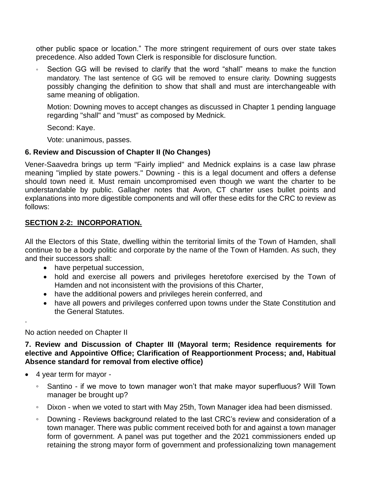other public space or location." The more stringent requirement of ours over state takes precedence. Also added Town Clerk is responsible for disclosure function.

Section GG will be revised to clarify that the word "shall" means to make the function mandatory. The last sentence of GG will be removed to ensure clarity. Downing suggests possibly changing the definition to show that shall and must are interchangeable with same meaning of obligation.

Motion: Downing moves to accept changes as discussed in Chapter 1 pending language regarding "shall" and "must" as composed by Mednick.

Second: Kaye.

Vote: unanimous, passes.

# **6. Review and Discussion of Chapter II (No Changes)**

Vener-Saavedra brings up term "Fairly implied" and Mednick explains is a case law phrase meaning "implied by state powers." Downing - this is a legal document and offers a defense should town need it. Must remain uncompromised even though we want the charter to be understandable by public. Gallagher notes that Avon, CT charter uses bullet points and explanations into more digestible components and will offer these edits for the CRC to review as follows:

# **SECTION 2-2: INCORPORATION.**

All the Electors of this State, dwelling within the territorial limits of the Town of Hamden, shall continue to be a body politic and corporate by the name of the Town of Hamden. As such, they and their successors shall:

- have perpetual succession,
- hold and exercise all powers and privileges heretofore exercised by the Town of Hamden and not inconsistent with the provisions of this Charter,
- have the additional powers and privileges herein conferred, and
- have all powers and privileges conferred upon towns under the State Constitution and the General Statutes.

# No action needed on Chapter II

### **7. Review and Discussion of Chapter III (Mayoral term; Residence requirements for elective and Appointive Office; Clarification of Reapportionment Process; and, Habitual Absence standard for removal from elective office)**

4 year term for mayor -

.

- Santino if we move to town manager won't that make mayor superfluous? Will Town manager be brought up?
- Dixon when we voted to start with May 25th, Town Manager idea had been dismissed.
- Downing Reviews background related to the last CRC's review and consideration of a town manager. There was public comment received both for and against a town manager form of government. A panel was put together and the 2021 commissioners ended up retaining the strong mayor form of government and professionalizing town management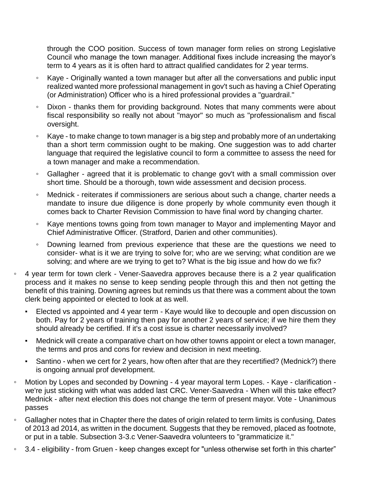through the COO position. Success of town manager form relies on strong Legislative Council who manage the town manager. Additional fixes include increasing the mayor's term to 4 years as it is often hard to attract qualified candidates for 2 year terms.

- Kaye Originally wanted a town manager but after all the conversations and public input realized wanted more professional management in gov't such as having a Chief Operating (or Administration) Officer who is a hired professional provides a "guardrail."
- Dixon thanks them for providing background. Notes that many comments were about fiscal responsibility so really not about "mayor" so much as "professionalism and fiscal oversight.
- Kaye to make change to town manager is a big step and probably more of an undertaking than a short term commission ought to be making. One suggestion was to add charter language that required the legislative council to form a committee to assess the need for a town manager and make a recommendation.
- Gallagher agreed that it is problematic to change gov't with a small commission over short time. Should be a thorough, town wide assessment and decision process.
- Mednick reiterates if commissioners are serious about such a change, charter needs a mandate to insure due diligence is done properly by whole community even though it comes back to Charter Revision Commission to have final word by changing charter.
- Kaye mentions towns going from town manager to Mayor and implementing Mayor and Chief Administrative Officer. (Stratford, Darien and other communities).
- Downing learned from previous experience that these are the questions we need to consider- what is it we are trying to solve for; who are we serving; what condition are we solving; and where are we trying to get to? What is the big issue and how do we fix?
- 4 year term for town clerk Vener-Saavedra approves because there is a 2 year qualification process and it makes no sense to keep sending people through this and then not getting the benefit of this training. Downing agrees but reminds us that there was a comment about the town clerk being appointed or elected to look at as well.
	- Elected vs appointed and 4 year term Kaye would like to decouple and open discussion on both. Pay for 2 years of training then pay for another 2 years of service; if we hire them they should already be certified. If it's a cost issue is charter necessarily involved?
	- Mednick will create a comparative chart on how other towns appoint or elect a town manager, the terms and pros and cons for review and decision in next meeting.
	- Santino when we cert for 2 years, how often after that are they recertified? (Mednick?) there is ongoing annual prof development.
- Motion by Lopes and seconded by Downing 4 year mayoral term Lopes. Kaye clarification we're just sticking with what was added last CRC. Vener-Saavedra - When will this take effect? Mednick - after next election this does not change the term of present mayor. Vote - Unanimous passes
- Gallagher notes that in Chapter there the dates of origin related to term limits is confusing, Dates of 2013 ad 2014, as written in the document. Suggests that they be removed, placed as footnote, or put in a table. Subsection 3-3.c Vener-Saavedra volunteers to "grammaticize it."
- 3.4 eligibility from Gruen keep changes except for "unless otherwise set forth in this charter"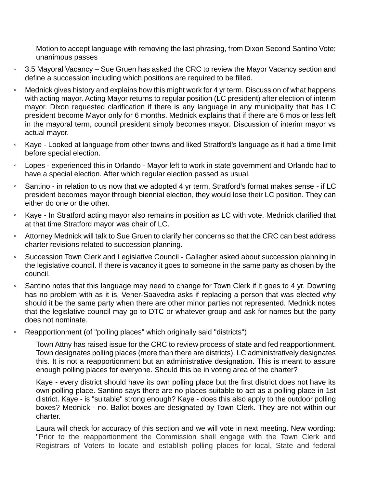Motion to accept language with removing the last phrasing, from Dixon Second Santino Vote; unanimous passes

- 3.5 Mayoral Vacancy Sue Gruen has asked the CRC to review the Mayor Vacancy section and define a succession including which positions are required to be filled.
- Mednick gives history and explains how this might work for 4 yr term. Discussion of what happens with acting mayor. Acting Mayor returns to regular position (LC president) after election of interim mayor. Dixon requested clarification if there is any language in any municipality that has LC president become Mayor only for 6 months. Mednick explains that if there are 6 mos or less left in the mayoral term, council president simply becomes mayor. Discussion of interim mayor vs actual mayor.
- Kaye Looked at language from other towns and liked Stratford's language as it had a time limit before special election.
- Lopes experienced this in Orlando Mayor left to work in state government and Orlando had to have a special election. After which regular election passed as usual.
- Santino in relation to us now that we adopted 4 yr term, Stratford's format makes sense if LC president becomes mayor through biennial election, they would lose their LC position. They can either do one or the other.
- Kaye In Stratford acting mayor also remains in position as LC with vote. Mednick clarified that at that time Stratford mayor was chair of LC.
- Attorney Mednick will talk to Sue Gruen to clarify her concerns so that the CRC can best address charter revisions related to succession planning.
- Succession Town Clerk and Legislative Council Gallagher asked about succession planning in the legislative council. If there is vacancy it goes to someone in the same party as chosen by the council.
- Santino notes that this language may need to change for Town Clerk if it goes to 4 yr. Downing has no problem with as it is. Vener-Saavedra asks if replacing a person that was elected why should it be the same party when there are other minor parties not represented. Mednick notes that the legislative council may go to DTC or whatever group and ask for names but the party does not nominate.
- Reapportionment (of "polling places" which originally said "districts")

Town Attny has raised issue for the CRC to review process of state and fed reapportionment. Town designates polling places (more than there are districts). LC administratively designates this. It is not a reapportionment but an administrative designation. This is meant to assure enough polling places for everyone. Should this be in voting area of the charter?

Kaye - every district should have its own polling place but the first district does not have its own polling place. Santino says there are no places suitable to act as a polling place in 1st district. Kaye - is "suitable" strong enough? Kaye - does this also apply to the outdoor polling boxes? Mednick - no. Ballot boxes are designated by Town Clerk. They are not within our charter.

Laura will check for accuracy of this section and we will vote in next meeting. New wording: "Prior to the reapportionment the Commission shall engage with the Town Clerk and Registrars of Voters to locate and establish polling places for local, State and federal